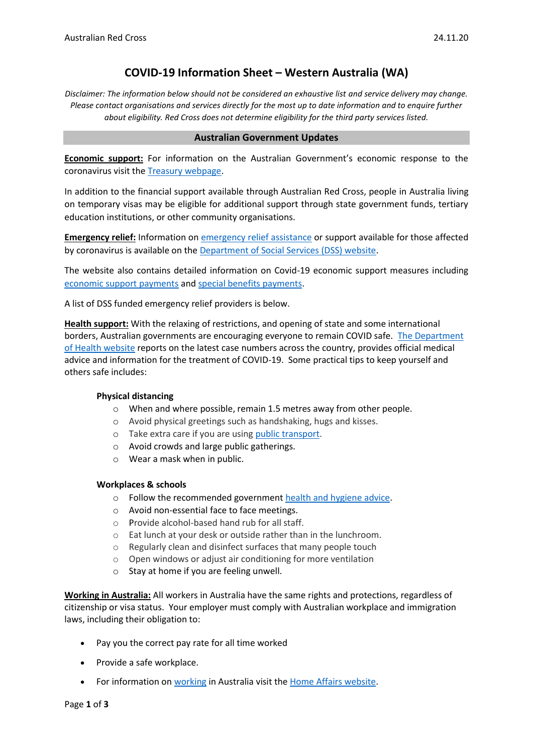## **COVID-19 Information Sheet – Western Australia (WA)**

*Disclaimer: The information below should not be considered an exhaustive list and service delivery may change. Please contact organisations and services directly for the most up to date information and to enquire further about eligibility. Red Cross does not determine eligibility for the third party services listed.*

#### **Australian Government Updates**

**Economic support:** For information on the Australian Government's economic response to the coronavirus visit the [Treasury webpage.](https://treasury.gov.au/coronavirus)

In addition to the financial support available through Australian Red Cross, people in Australia living on temporary visas may be eligible for additional support through state government funds, tertiary education institutions, or other community organisations.

**Emergency relief:** Information o[n emergency relief assistance](https://www.dss.gov.au/about-the-department/coronavirus-covid-19-information-and-support/coronavirus-support-services) or support available for those affected by coronavirus is available on the [Department of Social Services \(DSS\) website.](https://www.dss.gov.au/about-the-department/coronavirus-covid-19-information-and-support)

The website also contains detailed information on Covid-19 economic support measures including [economic support payments](https://www.servicesaustralia.gov.au/individuals/subjects/coronavirus-covid-19-and-how-we-may-help) and [special benefits payments.](https://www.servicesaustralia.gov.au/individuals/services/centrelink/special-benefit)

A list of DSS funded emergency relief providers is below.

**Health support:** With the relaxing of restrictions, and opening of state and some international borders, Australian governments are encouraging everyone to remain COVID safe. [The Department](https://www.health.gov.au/news/health-alerts/novel-coronavirus-2019-ncov-health-alert)  [of Health website](https://www.health.gov.au/news/health-alerts/novel-coronavirus-2019-ncov-health-alert) reports on the latest case numbers across the country, provides official medical advice and information for the treatment of COVID-19. Some practical tips to keep yourself and others safe includes:

#### **Physical distancing**

- o When and where possible, remain 1.5 metres away from other people.
- o Avoid physical greetings such as handshaking, hugs and kisses.
- o Take extra care if you are using [public transport.](https://www.infrastructure.gov.au/transport/files/covid19_public_transport_principles_29052020.pdf)
- o Avoid crowds and large public gatherings.
- o Wear a mask when in public.

#### **Workplaces & schools**

- o Follow the recommended government [health and hygiene advice.](https://www.health.gov.au/news/health-alerts/novel-coronavirus-2019-ncov-health-alert/how-to-protect-yourself-and-others-from-coronavirus-covid-19/good-hygiene-for-coronavirus-covid-19)
- o Avoid non-essential face to face meetings.
- o Provide alcohol-based hand rub for all staff.
- o Eat lunch at your desk or outside rather than in the lunchroom.
- o Regularly clean and disinfect surfaces that many people touch
- o Open windows or adjust air conditioning for more ventilation
- o Stay at home if you are feeling unwell.

**Working in Australia:** All workers in Australia have the same rights and protections, regardless of citizenship or visa status. Your employer must comply with Australian workplace and immigration laws, including their obligation to:

- Pay you the correct pay rate for all time worked
- Provide a safe workplace.
- For information o[n working](https://immi.homeaffairs.gov.au/visas/getting-a-visa/visa-listing/student-500/temporary-relaxation-of-working-hours-for-student-visa-holders) in Australia visit the [Home Affairs website.](https://immi.homeaffairs.gov.au/visas/working-in-australia)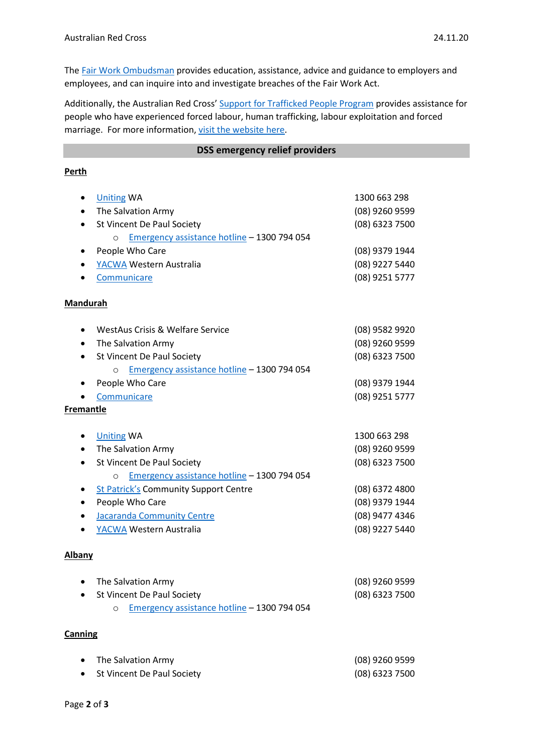The Fair Work [Ombudsman](https://www.fairwork.gov.au/) provides education, assistance, advice and guidance to employers and employees, and can inquire into and investigate breaches of the Fair Work Act.

Additionally, the Australian Red Cross' [Support for Trafficked People Program](https://www.redcross.org.au/get-help/help-for-migrants-in-transition/trafficked-people) provides assistance for people who have experienced forced labour, human trafficking, labour exploitation and forced marriage. For more information, [visit the website here.](https://www.redcross.org.au/get-help/help-for-migrants-in-transition/trafficked-people)

#### **DSS emergency relief providers**

## **Perth**

|                  | <b>Uniting WA</b>                                      | 1300 663 298                       |
|------------------|--------------------------------------------------------|------------------------------------|
| $\bullet$        | The Salvation Army                                     | (08) 9260 9599                     |
| ٠                | St Vincent De Paul Society                             | (08) 6323 7500                     |
|                  | Emergency assistance hotline - 1300 794 054<br>$\circ$ |                                    |
| ٠                | People Who Care                                        | (08) 9379 1944                     |
| ٠                | YACWA Western Australia                                | (08) 9227 5440                     |
|                  | Communicare                                            | (08) 9251 5777                     |
|                  |                                                        |                                    |
| <b>Mandurah</b>  |                                                        |                                    |
| ٠                | WestAus Crisis & Welfare Service                       | (08) 9582 9920                     |
| ٠                | The Salvation Army                                     | (08) 9260 9599                     |
| $\bullet$        | St Vincent De Paul Society                             | (08) 6323 7500                     |
|                  | Emergency assistance hotline - 1300 794 054<br>$\circ$ |                                    |
|                  | People Who Care                                        | (08) 9379 1944                     |
|                  | Communicare                                            | (08) 9251 5777                     |
| <b>Fremantle</b> |                                                        |                                    |
|                  |                                                        | 1300 663 298                       |
| ٠                | <b>Uniting WA</b>                                      |                                    |
|                  | The Salvation Army<br>St Vincent De Paul Society       | $(08)$ 9260 9599<br>(08) 6323 7500 |
|                  | Emergency assistance hotline - 1300 794 054            |                                    |
| ٠                | O<br><b>St Patrick's Community Support Centre</b>      | (08) 6372 4800                     |
| ٠                | People Who Care                                        | (08) 9379 1944                     |
| ٠                | <b>Jacaranda Community Centre</b>                      | (08) 9477 4346                     |
|                  | YACWA Western Australia                                | (08) 9227 5440                     |
|                  |                                                        |                                    |
| <b>Albany</b>    |                                                        |                                    |
|                  | The Salvation Army                                     | (08) 9260 9599                     |
|                  | St Vincent De Paul Society                             | (08) 6323 7500                     |
|                  | Emergency assistance hotline - 1300 794 054<br>O       |                                    |
|                  |                                                        |                                    |
| Canning          |                                                        |                                    |
|                  | The Salvation Army                                     | $(08)$ 9260 9599                   |

St Vincent De Paul Society (08) 6323 7500